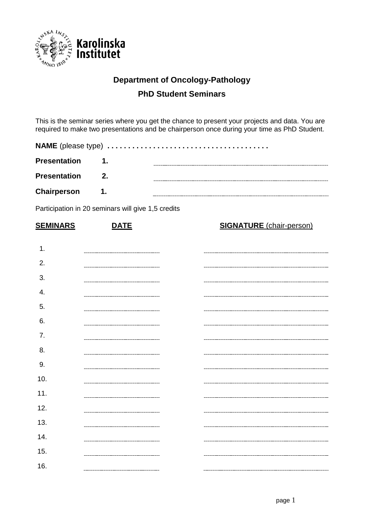

## **Department of Oncology-Pathology**

## **PhD Student Seminars**

This is the seminar series where you get the chance to present your projects and data. You are required to make two presentations and be chairperson once during your time as PhD Student.

| <b>Presentation</b> | $\blacksquare$ 1.         |  |
|---------------------|---------------------------|--|
| <b>Presentation</b> | $\overline{\mathbf{2}}$ . |  |
| Chairperson         | $\blacksquare$ 1.         |  |

Participation in 20 seminars will give 1,5 credits

| <b>SEMINARS</b> | <b>DATE</b> | <b>SIGNATURE</b> (chair-person) |
|-----------------|-------------|---------------------------------|
| 1.              |             |                                 |
| 2.              |             |                                 |
| 3.              |             |                                 |
| 4.              |             |                                 |
| 5.              |             |                                 |
| 6.              |             |                                 |
| 7.              |             |                                 |
| 8.              |             |                                 |
| 9.              |             |                                 |
| 10.             |             |                                 |
| 11.             |             |                                 |
| 12.             |             |                                 |
| 13.             |             |                                 |
| 14.             |             |                                 |
| 15.             |             |                                 |
| 16.             |             |                                 |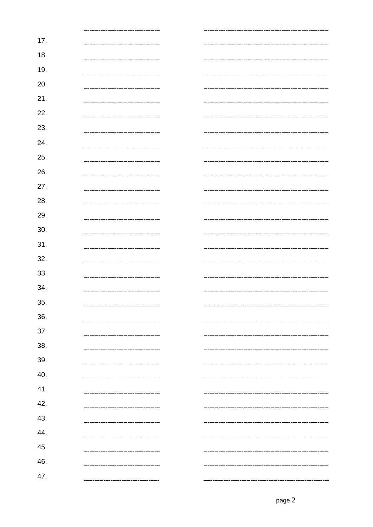| 17. |  |
|-----|--|
| 18. |  |
| 19. |  |
| 20. |  |
| 21. |  |
| 22. |  |
| 23. |  |
| 24. |  |
| 25. |  |
|     |  |
| 26. |  |
| 27. |  |
| 28. |  |
| 29. |  |
| 30. |  |
| 31. |  |
| 32. |  |
| 33. |  |
| 34. |  |
| 35. |  |
| 36. |  |
| 37. |  |
| 38. |  |
| 39. |  |
| 40. |  |
| 41. |  |
| 42. |  |
| 43. |  |
| 44. |  |
| 45. |  |
|     |  |
| 46. |  |
| 47. |  |